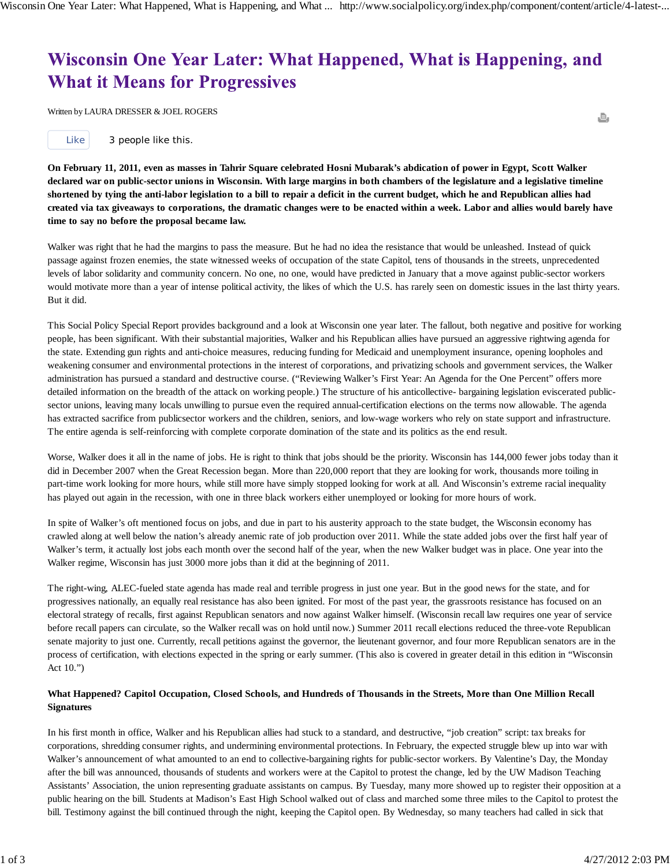. "Wisconsin One Year Later: What Happened, What Is Happening, and What It Means for Progressives," *Social Policy* Spring 2012 (Volume 42 Number 1): 4-11. With L. Dresser.

## Wisconsin One Year Later: What Happened, What is Happening, and **What it Means for Progressives**

Written by LAURA DRESSER & JOEL ROGERS

**On February 11, 2011, even as masses in Tahrir Square celebrated Hosni Mubarak's abdication of power in Egypt, Scott Walker declared war on public-sector unions in Wisconsin. With large margins in both chambers of the legislature and a legislative timeline shortened by tying the anti-labor legislation to a bill to repair a deficit in the current budget, which he and Republican allies had created via tax giveaways to corporations, the dramatic changes were to be enacted within a week. Labor and allies would barely have time to say no before the proposal became law.**

Walker was right that he had the margins to pass the measure. But he had no idea the resistance that would be unleashed. Instead of quick passage against frozen enemies, the state witnessed weeks of occupation of the state Capitol, tens of thousands in the streets, unprecedented levels of labor solidarity and community concern. No one, no one, would have predicted in January that a move against public-sector workers would motivate more than a year of intense political activity, the likes of which the U.S. has rarely seen on domestic issues in the last thirty years. But it did.

This Social Policy Special Report provides background and a look at Wisconsin one year later. The fallout, both negative and positive for working people, has been significant. With their substantial majorities, Walker and his Republican allies have pursued an aggressive rightwing agenda for the state. Extending gun rights and anti-choice measures, reducing funding for Medicaid and unemployment insurance, opening loopholes and weakening consumer and environmental protections in the interest of corporations, and privatizing schools and government services, the Walker administration has pursued a standard and destructive course. ("Reviewing Walker's First Year: An Agenda for the One Percent" offers more detailed information on the breadth of the attack on working people.) The structure of his anticollective- bargaining legislation eviscerated publicsector unions, leaving many locals unwilling to pursue even the required annual-certification elections on the terms now allowable. The agenda has extracted sacrifice from publicsector workers and the children, seniors, and low-wage workers who rely on state support and infrastructure. The entire agenda is self-reinforcing with complete corporate domination of the state and its politics as the end result.

Worse, Walker does it all in the name of jobs. He is right to think that jobs should be the priority. Wisconsin has 144,000 fewer jobs today than it did in December 2007 when the Great Recession began. More than 220,000 report that they are looking for work, thousands more toiling in part-time work looking for more hours, while still more have simply stopped looking for work at all. And Wisconsin's extreme racial inequality has played out again in the recession, with one in three black workers either unemployed or looking for more hours of work.

In spite of Walker's oft mentioned focus on jobs, and due in part to his austerity approach to the state budget, the Wisconsin economy has crawled along at well below the nation's already anemic rate of job production over 2011. While the state added jobs over the first half year of Walker's term, it actually lost jobs each month over the second half of the year, when the new Walker budget was in place. One year into the Walker regime, Wisconsin has just 3000 more jobs than it did at the beginning of 2011.

The right-wing, ALEC-fueled state agenda has made real and terrible progress in just one year. But in the good news for the state, and for progressives nationally, an equally real resistance has also been ignited. For most of the past year, the grassroots resistance has focused on an electoral strategy of recalls, first against Republican senators and now against Walker himself. (Wisconsin recall law requires one year of service before recall papers can circulate, so the Walker recall was on hold until now.) Summer 2011 recall elections reduced the three-vote Republican senate majority to just one. Currently, recall petitions against the governor, the lieutenant governor, and four more Republican senators are in the process of certification, with elections expected in the spring or early summer. (This also is covered in greater detail in this edition in "Wisconsin Act 10.")

## **What Happened? Capitol Occupation, Closed Schools, and Hundreds of Thousands in the Streets, More than One Million Recall Signatures**

In his first month in office, Walker and his Republican allies had stuck to a standard, and destructive, "job creation" script: tax breaks for corporations, shredding consumer rights, and undermining environmental protections. In February, the expected struggle blew up into war with Walker's announcement of what amounted to an end to collective-bargaining rights for public-sector workers. By Valentine's Day, the Monday after the bill was announced, thousands of students and workers were at the Capitol to protest the change, led by the UW Madison Teaching Assistants' Association, the union representing graduate assistants on campus. By Tuesday, many more showed up to register their opposition at a public hearing on the bill. Students at Madison's East High School walked out of class and marched some three miles to the Capitol to protest the bill. Testimony against the bill continued through the night, keeping the Capitol open. By Wednesday, so many teachers had called in sick that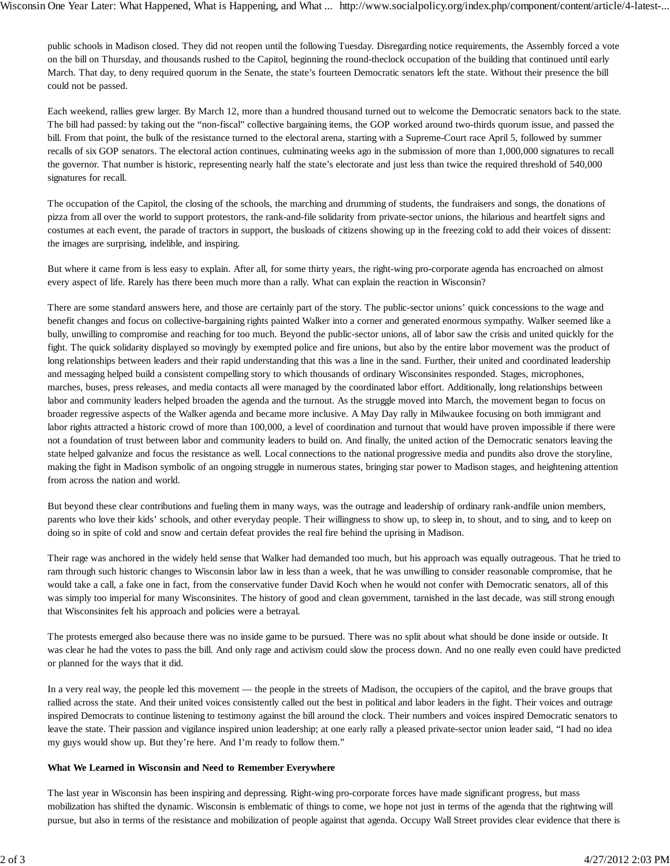public schools in Madison closed. They did not reopen until the following Tuesday. Disregarding notice requirements, the Assembly forced a vote on the bill on Thursday, and thousands rushed to the Capitol, beginning the round-theclock occupation of the building that continued until early March. That day, to deny required quorum in the Senate, the state's fourteen Democratic senators left the state. Without their presence the bill could not be passed.

Each weekend, rallies grew larger. By March 12, more than a hundred thousand turned out to welcome the Democratic senators back to the state. The bill had passed: by taking out the "non-fiscal" collective bargaining items, the GOP worked around two-thirds quorum issue, and passed the bill. From that point, the bulk of the resistance turned to the electoral arena, starting with a Supreme-Court race April 5, followed by summer recalls of six GOP senators. The electoral action continues, culminating weeks ago in the submission of more than 1,000,000 signatures to recall the governor. That number is historic, representing nearly half the state's electorate and just less than twice the required threshold of 540,000 signatures for recall.

The occupation of the Capitol, the closing of the schools, the marching and drumming of students, the fundraisers and songs, the donations of pizza from all over the world to support protestors, the rank-and-file solidarity from private-sector unions, the hilarious and heartfelt signs and costumes at each event, the parade of tractors in support, the busloads of citizens showing up in the freezing cold to add their voices of dissent: the images are surprising, indelible, and inspiring.

But where it came from is less easy to explain. After all, for some thirty years, the right-wing pro-corporate agenda has encroached on almost every aspect of life. Rarely has there been much more than a rally. What can explain the reaction in Wisconsin?

There are some standard answers here, and those are certainly part of the story. The public-sector unions' quick concessions to the wage and benefit changes and focus on collective-bargaining rights painted Walker into a corner and generated enormous sympathy. Walker seemed like a bully, unwilling to compromise and reaching for too much. Beyond the public-sector unions, all of labor saw the crisis and united quickly for the fight. The quick solidarity displayed so movingly by exempted police and fire unions, but also by the entire labor movement was the product of long relationships between leaders and their rapid understanding that this was a line in the sand. Further, their united and coordinated leadership and messaging helped build a consistent compelling story to which thousands of ordinary Wisconsinites responded. Stages, microphones, marches, buses, press releases, and media contacts all were managed by the coordinated labor effort. Additionally, long relationships between labor and community leaders helped broaden the agenda and the turnout. As the struggle moved into March, the movement began to focus on broader regressive aspects of the Walker agenda and became more inclusive. A May Day rally in Milwaukee focusing on both immigrant and labor rights attracted a historic crowd of more than 100,000, a level of coordination and turnout that would have proven impossible if there were not a foundation of trust between labor and community leaders to build on. And finally, the united action of the Democratic senators leaving the state helped galvanize and focus the resistance as well. Local connections to the national progressive media and pundits also drove the storyline, making the fight in Madison symbolic of an ongoing struggle in numerous states, bringing star power to Madison stages, and heightening attention from across the nation and world.

But beyond these clear contributions and fueling them in many ways, was the outrage and leadership of ordinary rank-andfile union members, parents who love their kids' schools, and other everyday people. Their willingness to show up, to sleep in, to shout, and to sing, and to keep on doing so in spite of cold and snow and certain defeat provides the real fire behind the uprising in Madison.

Their rage was anchored in the widely held sense that Walker had demanded too much, but his approach was equally outrageous. That he tried to ram through such historic changes to Wisconsin labor law in less than a week, that he was unwilling to consider reasonable compromise, that he would take a call, a fake one in fact, from the conservative funder David Koch when he would not confer with Democratic senators, all of this was simply too imperial for many Wisconsinites. The history of good and clean government, tarnished in the last decade, was still strong enough that Wisconsinites felt his approach and policies were a betrayal.

The protests emerged also because there was no inside game to be pursued. There was no split about what should be done inside or outside. It was clear he had the votes to pass the bill. And only rage and activism could slow the process down. And no one really even could have predicted or planned for the ways that it did.

In a very real way, the people led this movement — the people in the streets of Madison, the occupiers of the capitol, and the brave groups that rallied across the state. And their united voices consistently called out the best in political and labor leaders in the fight. Their voices and outrage inspired Democrats to continue listening to testimony against the bill around the clock. Their numbers and voices inspired Democratic senators to leave the state. Their passion and vigilance inspired union leadership; at one early rally a pleased private-sector union leader said, "I had no idea my guys would show up. But they're here. And I'm ready to follow them."

## **What We Learned in Wisconsin and Need to Remember Everywhere**

The last year in Wisconsin has been inspiring and depressing. Right-wing pro-corporate forces have made significant progress, but mass mobilization has shifted the dynamic. Wisconsin is emblematic of things to come, we hope not just in terms of the agenda that the rightwing will pursue, but also in terms of the resistance and mobilization of people against that agenda. Occupy Wall Street provides clear evidence that there is